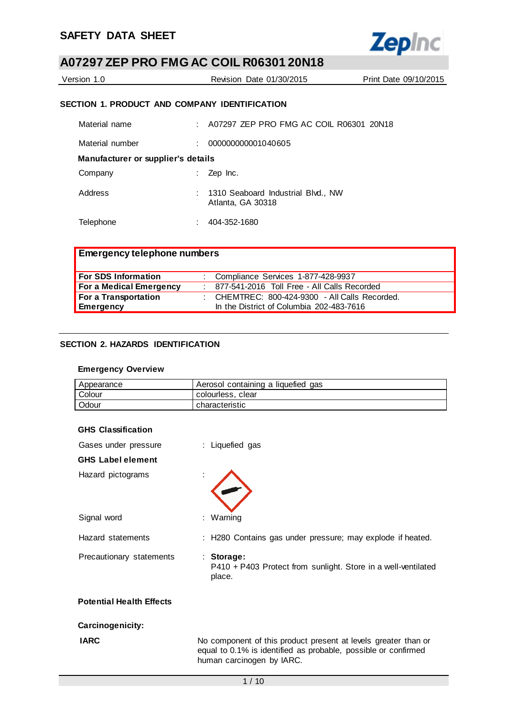

| Version 1.0                                   | Revision Date 01/30/2015                        | Print Date 09/10/2015 |  |  |
|-----------------------------------------------|-------------------------------------------------|-----------------------|--|--|
| SECTION 1. PRODUCT AND COMPANY IDENTIFICATION |                                                 |                       |  |  |
| $M = 1 - 1 - 1 - 2 - 3 - 3$                   | $\lambda$ 07007 7ED BBO FMO AO OOH B00004 00M40 |                       |  |  |

| Material name                      | : A07297 ZEP PRO FMG AC COIL R06301 20N18               |
|------------------------------------|---------------------------------------------------------|
| Material number                    | 000000000001040605                                      |
| Manufacturer or supplier's details |                                                         |
| Company                            | Zep Inc.                                                |
| Address                            | 1310 Seaboard Industrial Blvd., NW<br>Atlanta, GA 30318 |
| Telephone                          | 404-352-1680                                            |

| <b>Emergency telephone numbers</b> |                                                  |
|------------------------------------|--------------------------------------------------|
| <b>For SDS Information</b>         | : Compliance Services 1-877-428-9937             |
| For a Medical Emergency            | : 877-541-2016 Toll Free - All Calls Recorded    |
| For a Transportation               | : CHEMTREC: $800-424-9300$ - All Calls Recorded. |
| Emergency                          | In the District of Columbia 202-483-7616         |

## **SECTION 2. HAZARDS IDENTIFICATION**

### **Emergency Overview**

| Appearance | Aerosol containing a liquefied gas |  |  |  |
|------------|------------------------------------|--|--|--|
| Colour     | colourless, clear                  |  |  |  |
| Odour      | characteristic                     |  |  |  |

| Gases under pressure            | : Liquefied gas                                                                                                                                               |
|---------------------------------|---------------------------------------------------------------------------------------------------------------------------------------------------------------|
| <b>GHS Label element</b>        |                                                                                                                                                               |
| Hazard pictograms               |                                                                                                                                                               |
| Signal word                     | : Warning                                                                                                                                                     |
| Hazard statements               | : H280 Contains gas under pressure; may explode if heated.                                                                                                    |
| Precautionary statements        | : Storage:<br>P410 + P403 Protect from sunlight. Store in a well-ventilated<br>place.                                                                         |
| <b>Potential Health Effects</b> |                                                                                                                                                               |
| Carcinogenicity:                |                                                                                                                                                               |
| <b>IARC</b>                     | No component of this product present at levels greater than or<br>equal to 0.1% is identified as probable, possible or confirmed<br>human carcinogen by IARC. |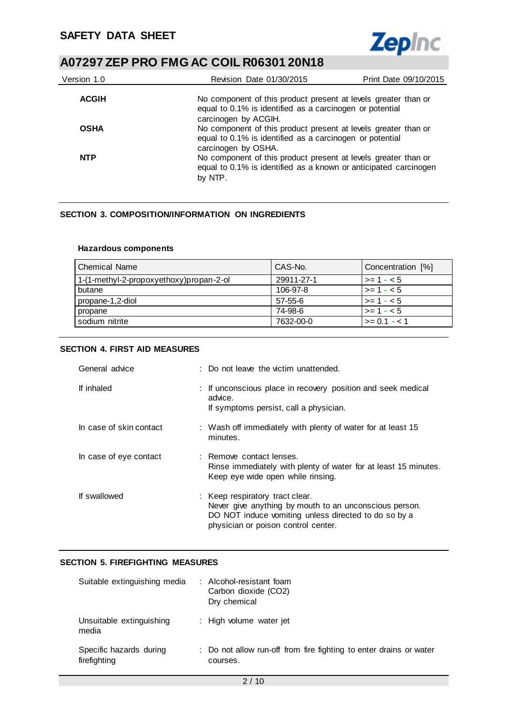

| Version 1.0  | Revision Date 01/30/2015                                                                                                                           | Print Date 09/10/2015 |
|--------------|----------------------------------------------------------------------------------------------------------------------------------------------------|-----------------------|
| <b>ACGIH</b> | No component of this product present at levels greater than or<br>equal to 0.1% is identified as a carcinogen or potential<br>carcinogen by ACGIH. |                       |
| <b>OSHA</b>  | No component of this product present at levels greater than or<br>equal to 0.1% is identified as a carcinogen or potential<br>carcinogen by OSHA.  |                       |
| <b>NTP</b>   | No component of this product present at levels greater than or<br>equal to 0.1% is identified as a known or anticipated carcinogen<br>by NTP.      |                       |

### **SECTION 3. COMPOSITION/INFORMATION ON INGREDIENTS**

#### **Hazardous components**

| <b>Chemical Name</b>                    | CAS-No.    | Concentration [%]         |
|-----------------------------------------|------------|---------------------------|
| 1-(1-methyl-2-propoxyethoxy)propan-2-ol | 29911-27-1 | $\vert$ >= 1 - < 5        |
| butane                                  | 106-97-8   | $\vert$ >= 1 - < 5        |
| propane-1,2-diol                        | 57-55-6    | $\vert$ >= 1 - < 5        |
| propane                                 | 74-98-6    | $ >= 1 - < 5$             |
| sodium nitrite                          | 7632-00-0  | $\rightarrow = 0.1 - 1.1$ |

### **SECTION 4. FIRST AID MEASURES**

| General advice          | : Do not leave the victim unattended.                                                                                                                                                    |
|-------------------------|------------------------------------------------------------------------------------------------------------------------------------------------------------------------------------------|
| If inhaled              | : If unconscious place in recovery position and seek medical<br>advice.<br>If symptoms persist, call a physician.                                                                        |
| In case of skin contact | : Wash off immediately with plenty of water for at least 15<br>minutes.                                                                                                                  |
| In case of eye contact  | : Remove contact lenses.<br>Rinse immediately with plenty of water for at least 15 minutes.<br>Keep eye wide open while rinsing.                                                         |
| If swallowed            | : Keep respiratory tract clear.<br>Never give anything by mouth to an unconscious person.<br>DO NOT induce vomiting unless directed to do so by a<br>physician or poison control center. |

### **SECTION 5. FIREFIGHTING MEASURES**

| Suitable extinguishing media            | : Alcohol-resistant foam<br>Carbon dioxide (CO2)<br>Dry chemical               |
|-----------------------------------------|--------------------------------------------------------------------------------|
| Unsuitable extinguishing<br>media       | : High volume water jet                                                        |
| Specific hazards during<br>firefighting | : Do not allow run-off from fire fighting to enter drains or water<br>courses. |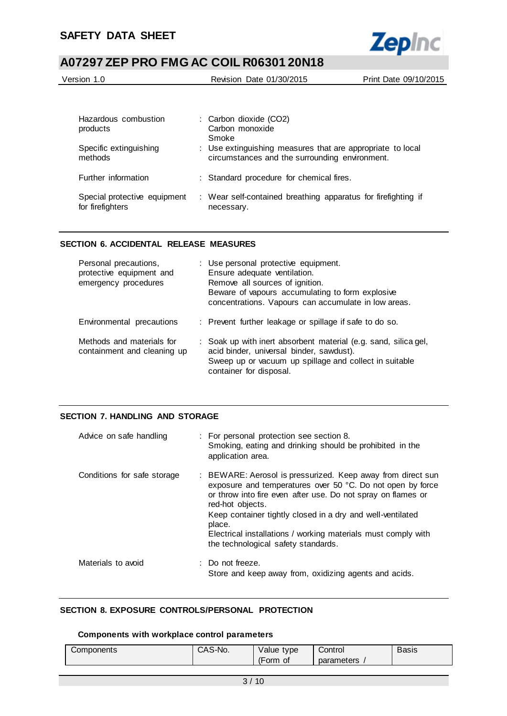

| Version 1.0 | Revision Date 01/30/2015 | Print Date 09/10/2015 |
|-------------|--------------------------|-----------------------|
|             |                          |                       |

| Hazardous combustion<br>products                 | : Carbon dioxide (CO2)<br>Carbon monoxide<br>Smoke                                                           |
|--------------------------------------------------|--------------------------------------------------------------------------------------------------------------|
| Specific extinguishing<br>methods                | : Use extinguishing measures that are appropriate to local<br>circumstances and the surrounding environment. |
| Further information                              | : Standard procedure for chemical fires.                                                                     |
| Special protective equipment<br>for firefighters | : Wear self-contained breathing apparatus for firefighting if<br>necessary.                                  |

### **SECTION 6. ACCIDENTAL RELEASE MEASURES**

| Personal precautions,<br>protective equipment and<br>emergency procedures | : Use personal protective equipment.<br>Ensure adequate ventilation.<br>Remove all sources of ignition.<br>Beware of vapours accumulating to form explosive<br>concentrations. Vapours can accumulate in low areas. |
|---------------------------------------------------------------------------|---------------------------------------------------------------------------------------------------------------------------------------------------------------------------------------------------------------------|
| Environmental precautions                                                 | : Prevent further leakage or spillage if safe to do so.                                                                                                                                                             |
| Methods and materials for<br>containment and cleaning up                  | : Soak up with inert absorbent material (e.g. sand, silica gel,<br>acid binder, universal binder, sawdust).<br>Sweep up or vacuum up spillage and collect in suitable<br>container for disposal.                    |

## **SECTION 7. HANDLING AND STORAGE**

| Advice on safe handling     | : For personal protection see section 8.<br>Smoking, eating and drinking should be prohibited in the<br>application area.                                                                                                                                                                                                                                                                     |
|-----------------------------|-----------------------------------------------------------------------------------------------------------------------------------------------------------------------------------------------------------------------------------------------------------------------------------------------------------------------------------------------------------------------------------------------|
| Conditions for safe storage | : BEWARE: Aerosol is pressurized. Keep away from direct sun<br>exposure and temperatures over 50 °C. Do not open by force<br>or throw into fire even after use. Do not spray on flames or<br>red-hot objects.<br>Keep container tightly closed in a dry and well-ventilated<br>place.<br>Electrical installations / working materials must comply with<br>the technological safety standards. |
| Materials to avoid          | $\therefore$ Do not freeze.<br>Store and keep away from, oxidizing agents and acids.                                                                                                                                                                                                                                                                                                          |

## **SECTION 8. EXPOSURE CONTROLS/PERSONAL PROTECTION**

#### **Components with workplace control parameters**

| Components | CAS-No. | Value type   | Control    | Basis |
|------------|---------|--------------|------------|-------|
|            |         | '⊢orm∴<br>0t | parameters |       |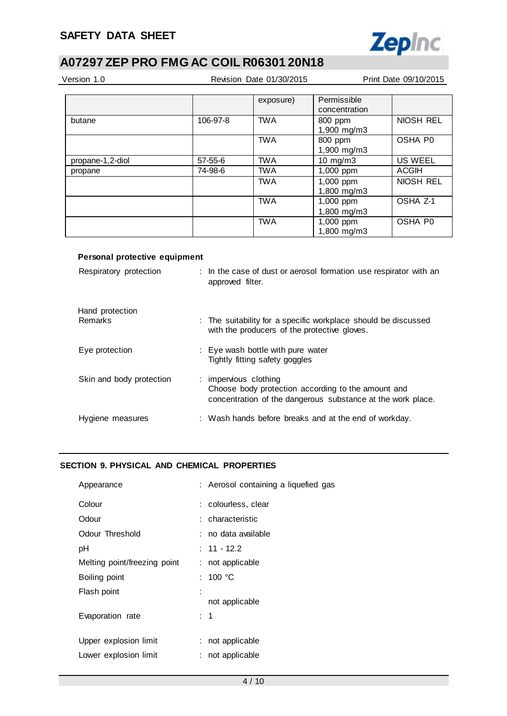

| Version 1.0<br>Revision Date 01/30/2015 |          |            |                              | Print Date 09/10/2015 |
|-----------------------------------------|----------|------------|------------------------------|-----------------------|
|                                         |          | exposure)  | Permissible<br>concentration |                       |
| butane                                  | 106-97-8 | <b>TWA</b> | 800 ppm<br>1,900 mg/m3       | NIOSH REL             |
|                                         |          | <b>TWA</b> | 800 ppm<br>1,900 mg/m3       | OSHA P0               |
| propane-1,2-diol                        | 57-55-6  | <b>TWA</b> | $10 \text{ mg/m}$ 3          | <b>US WEEL</b>        |
| propane                                 | 74-98-6  | <b>TWA</b> | 1,000 ppm                    | ACGIH                 |
|                                         |          | <b>TWA</b> | 1,000 ppm<br>1,800 mg/m3     | NIOSH REL             |
|                                         |          | <b>TWA</b> | 1,000 ppm<br>1,800 mg/m3     | OSHA Z-1              |
|                                         |          | <b>TWA</b> | 1,000 ppm<br>1,800 mg/m3     | OSHA P0               |

### **Personal protective equipment**

| Respiratory protection     | : In the case of dust or aerosol formation use respirator with an<br>approved filter.                                                      |
|----------------------------|--------------------------------------------------------------------------------------------------------------------------------------------|
| Hand protection<br>Remarks | : The suitability for a specific workplace should be discussed<br>with the producers of the protective gloves.                             |
| Eye protection             | : Eye wash bottle with pure water<br>Tightly fitting safety goggles                                                                        |
| Skin and body protection   | : impervious clothing<br>Choose body protection according to the amount and<br>concentration of the dangerous substance at the work place. |
| Hygiene measures           | : Wash hands before breaks and at the end of workday.                                                                                      |

## **SECTION 9. PHYSICAL AND CHEMICAL PROPERTIES**

| Appearance                   | : Aerosol containing a liquefied gas |
|------------------------------|--------------------------------------|
| Colour                       | : colourless, clear                  |
| Odour                        | : characteristic                     |
| Odour Threshold              | : no data available                  |
| рH                           | $: 11 - 12.2$                        |
| Melting point/freezing point | : not applicable                     |
| Boiling point                | : 100 °C                             |
| Flash point                  | not applicable                       |
|                              |                                      |
| Evaporation rate             | : 1                                  |
| Upper explosion limit        | not applicable                       |
| Lower explosion limit        | not applicable                       |
|                              |                                      |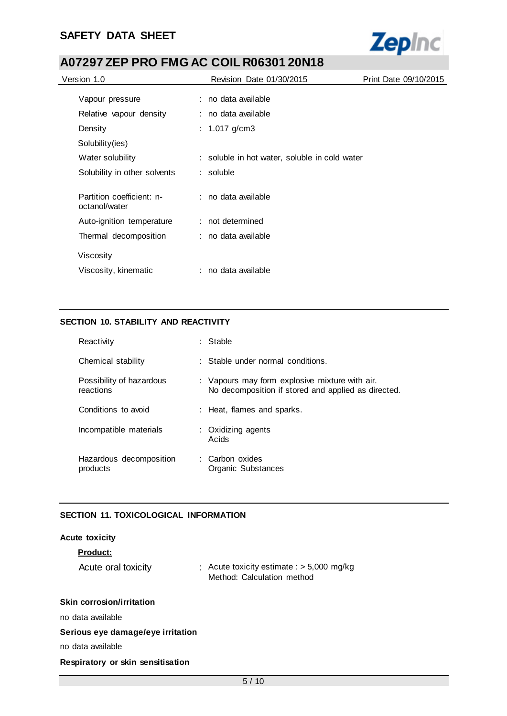

| Version 1.0                                | Revision Date 01/30/2015                      | Print Date 09/10/2015 |
|--------------------------------------------|-----------------------------------------------|-----------------------|
| Vapour pressure                            | : no data available                           |                       |
|                                            |                                               |                       |
| Relative vapour density                    | : no data available                           |                       |
| Density                                    | : $1.017$ g/cm3                               |                       |
| Solubility(ies)                            |                                               |                       |
| Water solubility                           | : soluble in hot water, soluble in cold water |                       |
| Solubility in other solvents               | : soluble                                     |                       |
| Partition coefficient: n-<br>octanol/water | : no data available                           |                       |
| Auto-ignition temperature                  | : not determined                              |                       |
| Thermal decomposition                      | : no data available                           |                       |
| Viscosity                                  |                                               |                       |
| Viscosity, kinematic                       | : no data available                           |                       |

## **SECTION 10. STABILITY AND REACTIVITY**

| Reactivity                            | : Stable                                                                                              |
|---------------------------------------|-------------------------------------------------------------------------------------------------------|
| Chemical stability                    | $\therefore$ Stable under normal conditions.                                                          |
| Possibility of hazardous<br>reactions | : Vapours may form explosive mixture with air.<br>No decomposition if stored and applied as directed. |
| Conditions to avoid                   | : Heat, flames and sparks.                                                                            |
| Incompatible materials                | : Oxidizing agents<br>Acids                                                                           |
| Hazardous decomposition<br>products   | : Carbon oxides<br>Organic Substances                                                                 |

### **SECTION 11. TOXICOLOGICAL INFORMATION**

| <b>Acute toxicity</b>             |                                                                           |
|-----------------------------------|---------------------------------------------------------------------------|
| <b>Product:</b>                   |                                                                           |
| Acute oral toxicity               | : Acute toxicity estimate : $>$ 5,000 mg/kg<br>Method: Calculation method |
| <b>Skin corrosion/irritation</b>  |                                                                           |
| no data available                 |                                                                           |
| Serious eye damage/eye irritation |                                                                           |
| no data available                 |                                                                           |
|                                   |                                                                           |

### **Respiratory or skin sensitisation**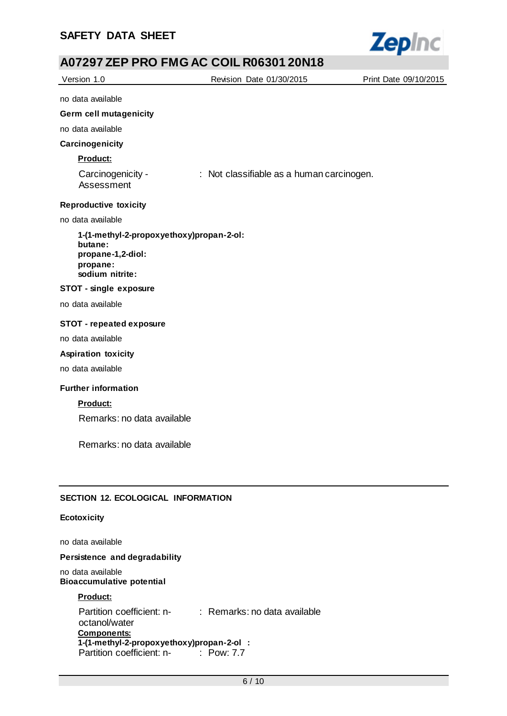

|                                                                                                         | AVIZJI ZEFITINO I MIG AU UUILINUUJU I ZUNTU |                       |
|---------------------------------------------------------------------------------------------------------|---------------------------------------------|-----------------------|
| Version 1.0                                                                                             | Revision Date 01/30/2015                    | Print Date 09/10/2015 |
| no data available                                                                                       |                                             |                       |
| Germ cell mutagenicity                                                                                  |                                             |                       |
| no data available                                                                                       |                                             |                       |
| Carcinogenicity                                                                                         |                                             |                       |
| Product:                                                                                                |                                             |                       |
| Carcinogenicity -<br>Assessment                                                                         | : Not classifiable as a human carcinogen.   |                       |
| <b>Reproductive toxicity</b>                                                                            |                                             |                       |
| no data available                                                                                       |                                             |                       |
| 1-(1-methyl-2-propoxyethoxy)propan-2-ol:<br>butane:<br>propane-1,2-diol:<br>propane:<br>sodium nitrite: |                                             |                       |
| <b>STOT - single exposure</b>                                                                           |                                             |                       |
| no data available                                                                                       |                                             |                       |
| <b>STOT - repeated exposure</b>                                                                         |                                             |                       |
| no data available                                                                                       |                                             |                       |
| <b>Aspiration toxicity</b>                                                                              |                                             |                       |
| no data available                                                                                       |                                             |                       |
| <b>Further information</b>                                                                              |                                             |                       |
| <b>Product:</b>                                                                                         |                                             |                       |
| Remarks: no data available                                                                              |                                             |                       |
| Remarks: no data available                                                                              |                                             |                       |

## **SECTION 12. ECOLOGICAL INFORMATION**

## **Ecotoxicity**

no data available

## **Persistence and degradability**

no data available **Bioaccumulative potential**

### **Product:**

Partition coefficient: n-: Remarks: no data available octanol/water **Components: 1-(1-methyl-2-propoxyethoxy)propan-2-ol :** Partition coefficient: n-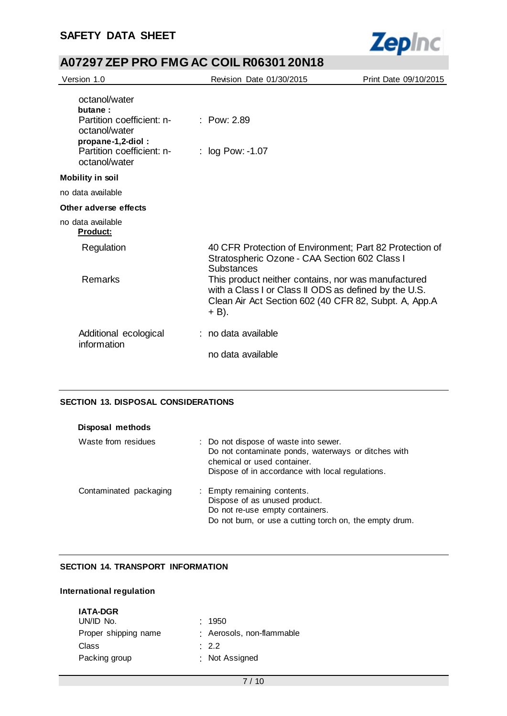

| Version 1.0                                                                                                                               | Revision Date 01/30/2015                                                                                                                                                       | Print Date 09/10/2015 |
|-------------------------------------------------------------------------------------------------------------------------------------------|--------------------------------------------------------------------------------------------------------------------------------------------------------------------------------|-----------------------|
| octanol/water<br>butane:<br>Partition coefficient: n-<br>octanol/water<br>propane-1,2-diol:<br>Partition coefficient: n-<br>octanol/water | : $Pow: 2.89$<br>: log Pow: -1.07                                                                                                                                              |                       |
| <b>Mobility in soil</b>                                                                                                                   |                                                                                                                                                                                |                       |
| no data available                                                                                                                         |                                                                                                                                                                                |                       |
| Other adverse effects                                                                                                                     |                                                                                                                                                                                |                       |
| no data available<br><u>Product:</u>                                                                                                      |                                                                                                                                                                                |                       |
| Regulation                                                                                                                                | 40 CFR Protection of Environment; Part 82 Protection of<br>Stratospheric Ozone - CAA Section 602 Class I<br><b>Substances</b>                                                  |                       |
| Remarks                                                                                                                                   | This product neither contains, nor was manufactured<br>with a Class I or Class II ODS as defined by the U.S.<br>Clean Air Act Section 602 (40 CFR 82, Subpt. A, App.A<br>+ B). |                       |
| Additional ecological<br>information                                                                                                      | : no data available                                                                                                                                                            |                       |
|                                                                                                                                           | no data available                                                                                                                                                              |                       |

## **SECTION 13. DISPOSAL CONSIDERATIONS**

| Disposal methods       |                                                                                                                                                                                 |
|------------------------|---------------------------------------------------------------------------------------------------------------------------------------------------------------------------------|
| Waste from residues    | : Do not dispose of waste into sewer.<br>Do not contaminate ponds, waterways or ditches with<br>chemical or used container.<br>Dispose of in accordance with local regulations. |
| Contaminated packaging | : Empty remaining contents.<br>Dispose of as unused product.<br>Do not re-use empty containers.<br>Do not burn, or use a cutting torch on, the empty drum.                      |

### **SECTION 14. TRANSPORT INFORMATION**

### **International regulation**

| : 1950                    |
|---------------------------|
| : Aerosols, non-flammable |
| $\cdot$ 2.2               |
| : Not Assigned            |
|                           |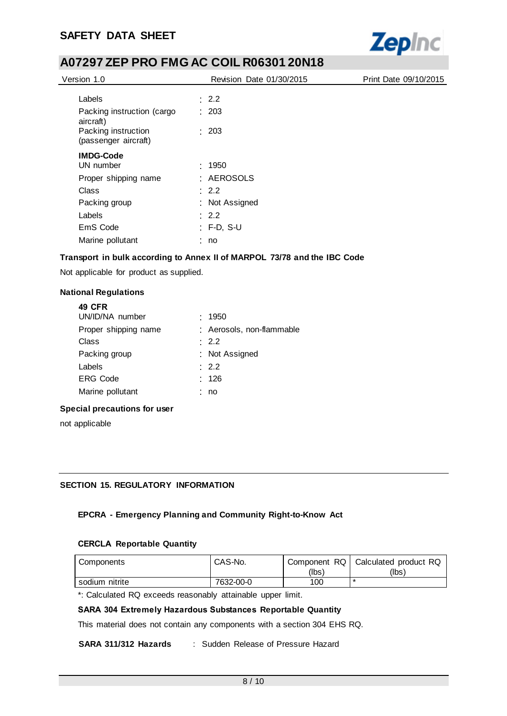## **SAFETY DATA SHEET**



## **A07297 ZEP PRO FMG AC COIL R06301 20N18**

| Version 1.0                                 | Revision Date 01/30/2015 | Print Date 09/10/2015 |
|---------------------------------------------|--------------------------|-----------------------|
| Labels                                      | $\therefore$ 2.2         |                       |
| Packing instruction (cargo<br>aircraft)     | : 203                    |                       |
| Packing instruction<br>(passenger aircraft) | : 203                    |                       |
| <b>IMDG-Code</b>                            |                          |                       |
| UN number                                   | : 1950                   |                       |
| Proper shipping name                        | : AEROSOLS               |                       |
| Class                                       | $\therefore$ 2.2         |                       |
| Packing group                               | : Not Assigned           |                       |
| Labels                                      | $\therefore$ 2.2         |                       |
| EmS Code                                    | $:$ F-D, S-U             |                       |
| Marine pollutant                            | no                       |                       |

### **Transport in bulk according to Annex II of MARPOL 73/78 and the IBC Code**

Not applicable for product as supplied.

#### **National Regulations**

**49 CFR**

| 49 UFR               |                           |
|----------------------|---------------------------|
| UN/ID/NA number      | : 1950                    |
| Proper shipping name | : Aerosols, non-flammable |
| Class                | $\therefore$ 2.2          |
| Packing group        | : Not Assigned            |
| Labels               | : 2.2                     |
| <b>ERG Code</b>      | : 126                     |
| Marine pollutant     | : no                      |
|                      |                           |

#### **Special precautions for user**

not applicable

### **SECTION 15. REGULATORY INFORMATION**

### **EPCRA - Emergency Planning and Community Right-to-Know Act**

#### **CERCLA Reportable Quantity**

| Components     | CAS-No.   |       | Component RQ   Calculated product RQ |
|----------------|-----------|-------|--------------------------------------|
|                |           | (lbs' | (lbs)                                |
| sodium nitrite | 7632-00-0 | 100   | *                                    |

\*: Calculated RQ exceeds reasonably attainable upper limit.

### **SARA 304 Extremely Hazardous Substances Reportable Quantity**

This material does not contain any components with a section 304 EHS RQ.

**SARA 311/312 Hazards** : Sudden Release of Pressure Hazard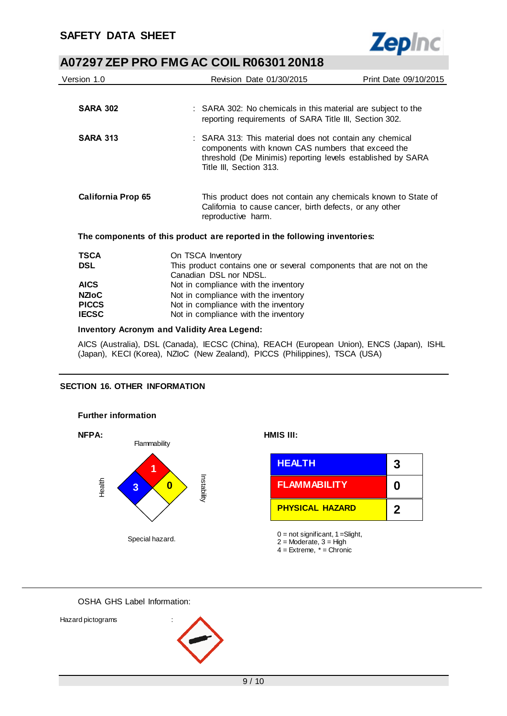

| Version 1.0                  | Revision Date 01/30/2015                                                                                                                                                                               | Print Date 09/10/2015 |  |
|------------------------------|--------------------------------------------------------------------------------------------------------------------------------------------------------------------------------------------------------|-----------------------|--|
|                              |                                                                                                                                                                                                        |                       |  |
| <b>SARA 302</b>              | : SARA 302: No chemicals in this material are subject to the<br>reporting requirements of SARA Title III, Section 302.                                                                                 |                       |  |
| <b>SARA 313</b>              | : SARA 313: This material does not contain any chemical<br>components with known CAS numbers that exceed the<br>threshold (De Minimis) reporting levels established by SARA<br>Title III, Section 313. |                       |  |
| <b>California Prop 65</b>    | This product does not contain any chemicals known to State of<br>California to cause cancer, birth defects, or any other<br>reproductive harm.                                                         |                       |  |
|                              | The components of this product are reported in the following inventories:                                                                                                                              |                       |  |
| <b>TSCA</b>                  | On TSCA Inventory                                                                                                                                                                                      |                       |  |
| <b>DSL</b>                   | This product contains one or several components that are not on the<br>Canadian DSL nor NDSL.                                                                                                          |                       |  |
| <b>AICS</b>                  | Not in compliance with the inventory                                                                                                                                                                   |                       |  |
| <b>NZIOC</b>                 | Not in compliance with the inventory                                                                                                                                                                   |                       |  |
| <b>PICCS</b><br><b>IECSC</b> | Not in compliance with the inventory                                                                                                                                                                   |                       |  |
|                              | Not in compliance with the inventory                                                                                                                                                                   |                       |  |
|                              |                                                                                                                                                                                                        |                       |  |

#### **Inventory Acronym and Validity Area Legend:**

AICS (Australia), DSL (Canada), IECSC (China), REACH (European Union), ENCS (Japan), ISHL (Japan), KECI (Korea), NZIoC (New Zealand), PICCS (Philippines), TSCA (USA)

### **SECTION 16. OTHER INFORMATION**



OSHA GHS Label Information:

Hazard pictograms :